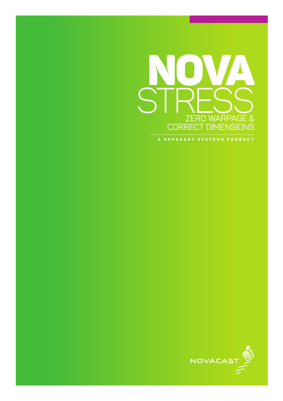

A NOVACAST SYSTEMS PRODUCT

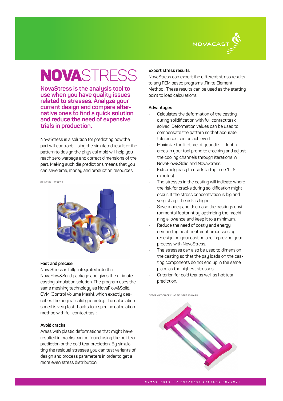

# **NOVASTRESS**

**NovaStress is the analysis tool to use when you have quality issues related to stresses. Analyze your current design and compare alter- native ones to find a quick solution and reduce the need of expensive trials in production.**

NovaStress is a solution for predicting how the part will contract. Using the simulated result of the pattern to design the physical mold will help you reach zero warpage and correct dimensions of the part. Making such die predictions means that you can save time, money and production resources.

PRINCIPAL STRESS



#### **Fast and precise**

NovaStress is fully integrated into the NovaFlow&Solid package and gives the ultimate casting simulation solution. The program uses the same meshing technology as NovaFlow&Solid, CVM (Control Volume Mesh), which exactly describes the original solid geometry. The calculation speed is very fast thanks to a specific calculation method with full contact task.

# **Avoid cracks**

Areas with plastic deformations that might have resulted in cracks can be found using the hot tear prediction or the cold tear prediction. By simulating the residual stresses you can test variants of design and process parameters in order to get a more even stress distribution.

### **Export stress results**

NovaStress can export the different stress results to any FEM based programs (Finite Element Method). These results can be used as the starting point to load calculations.

#### **Advantages**

- Calculates the deformation of the casting during solidification with full contact task solved. Deformation values can be used to compensate the pattern so that accurate tolerances can be achieved.
- Maximize the lifetime of your die identify areas in your tool prone to cracking and adjust the cooling channels through iterations in NovaFlow&Solid and NovaStress.
- Extremely easy to use (startup time 1 5 minutes)
- The stresses in the casting will indicate where the risk for cracks during solidification might occur. If the stress concentration is big and very sharp, the risk is higher.
- Save money and decrease the castings environmental footprint by optimizing the machining allowance and keep it to a minimum.
- Reduce the need of costly and energy demanding heat treatment processes by redesigning your casting and improving your process with NovaStress.
- The stresses can also be used to dimension the casting so that the pay loads on the casting components do not end up in the same place as the highest stresses.
- Criterion for cold tear as well as hot tear prediction.

DEFORMATION OF CLASSIC STRESS HARP



NOVASTRESS **– A NOVACAST SYSTEMS PRODUCT**